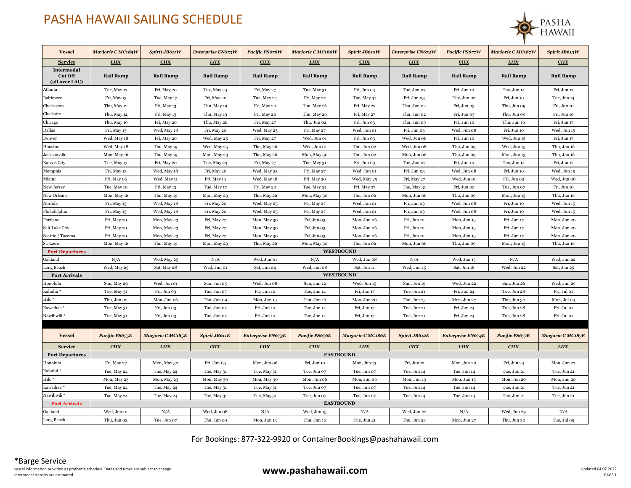## PASHA HAWAII SAILING SCHEDULE



| <b>Vessel</b>                                  | Marjorie CMC185W | Spirit JB611W    | Enterprise EN673W    | Pacific PS676W           | Marjorie CMC186W | Spirit JB612W    | Enterprise EN674W | Pacific PS677W           | Marjorie CMC187W | Spirit JB613W    |
|------------------------------------------------|------------------|------------------|----------------------|--------------------------|------------------|------------------|-------------------|--------------------------|------------------|------------------|
| <b>Service</b>                                 | <b>LHX</b>       | CHX              | <b>LHX</b>           | <b>CHX</b>               | <b>LHX</b>       | <b>CHX</b>       | <b>LHX</b>        | <b>CHX</b>               | <b>LHX</b>       | <b>CHX</b>       |
| Intermodal<br><b>Cut Off</b><br>(all over LAC) | <b>Rail Ramp</b> | <b>Rail Ramp</b> | <b>Rail Ramp</b>     | <b>Rail Ramp</b>         | <b>Rail Ramp</b> | <b>Rail Ramp</b> | <b>Rail Ramp</b>  | <b>Rail Ramp</b>         | <b>Rail Ramp</b> | <b>Rail Ramp</b> |
| Atlanta                                        | Tue, May 17      | Fri, May 20      | Tue, May 24          | Fri, May 27              | Tue, May 31      | Fri, Jun 03      | Tue, Jun 07       | Fri, Jun 10              | Tue, Jun 14      | Fri, Jun 17      |
| Baltimore                                      | Fri, May 13      | Tue, May 17      | Fri, May 20          | Tue, May 24              | Fri, May 27      | Tue, May 31      | Fri, Jun 03       | Tue, Jun 07              | Fri, Jun 10      | Tue, Jun 14      |
| Charleston                                     | Thu, May 12      | Fri, May 13      | Thu, May 19          | Fri, May 20              | Thu, May 26      | Fri, May 27      | Thu, Jun 02       | Fri, Jun 03              | Thu, Jun 09      | Fri, Jun 10      |
| Charlotte                                      | Thu, May 12      | Fri, May 13      | Thu, May 19          | Fri, May 20              | Thu, May 26      | Fri, May 27      | Thu, Jun 02       | Fri, Jun 03              | Thu, Jun 09      | Fri, Jun 10      |
| Chicago                                        | Thu, May 19      | Fri, May 20      | Thu, May 26          | Fri, May 27              | Thu, Jun 02      | Fri, Jun 03      | Thu, Jun 09       | Fri, Jun 10              | Thu, Jun 16      | Fri, Jun 17      |
| Dallas                                         | Fri, May 13      | Wed, May 18      | Fri, May 20          | Wed, May 25              | Fri, May 27      | Wed, Jun 01      | Fri, Jun 03       | Wed, Jun 08              | Fri, Jun 10      | Wed, Jun 15      |
| Denver                                         | Wed, May 18      | Fri, May 20      | Wed, May 25          | Fri, May 27              | Wed, Jun 01      | Fri, Jun 03      | Wed, Jun 08       | Fri, Jun 10              | Wed, Jun 15      | Fri, Jun 17      |
| Houston                                        | Wed, May 18      | Thu, May 19      | Wed, May 25          | Thu, May 26              | Wed, Jun 01      | Thu, Jun 02      | Wed, Jun 08       | Thu, Jun 09              | Wed, Jun 15      | Thu, Jun 16      |
| Jacksonville                                   | Mon, May 16      | Thu, May 19      | Mon, May 23          | Thu, May 26              | Mon, May 30      | Thu, Jun 02      | Mon, Jun 06       | Thu, Jun 09              | Mon, Jun 13      | Thu, Jun 16      |
| Kansas City                                    | Tue, May 17      | Fri, May 20      | Tue, May 24          | Fri, May 27              | Tue, May 31      | Fri, Jun 03      | Tue, Jun 07       | Fri, Jun 10              | Tue, Jun 14      | Fri, Jun 17      |
| Memphis                                        | Fri, May 13      | Wed, May 18      | Fri, May 20          | Wed, May 25              | Fri, May 27      | Wed, Jun 01      | Fri, Jun 03       | Wed, Jun 08              | Fri, Jun 10      | Wed, Jun 15      |
| Miami                                          | Fri, May 06      | Wed, May 11      | Fri, May 13          | Wed, May 18              | Fri, May 20      | Wed, May 25      | Fri, May 27       | Wed, Jun 01              | Fri, Jun 03      | Wed, Jun 08      |
| New Jersey                                     | Tue, May 10      | Fri, May 13      | Tue, May 17          | Fri, May 20              | Tue, May 24      | Fri, May 27      | Tue, May 31       | Fri, Jun 03              | Tue, Jun 07      | Fri, Jun 10      |
| New Orleans                                    | Mon, May 16      | Thu, May 19      | Mon, May 23          | Thu, May 26              | Mon, May 30      | Thu, Jun 02      | Mon, Jun 06       | Thu, Jun 09              | Mon, Jun 13      | Thu, Jun 16      |
| Norfolk                                        | Fri, May 13      | Wed, May 18      | Fri, May 20          | Wed, May 25              | Fri, May 27      | Wed, Jun 01      | Fri, Jun 03       | Wed, Jun 08              | Fri, Jun 10      | Wed, Jun 15      |
| Philadelphia                                   | Fri, May 13      | Wed, May 18      | Fri, May 20          | Wed, May 25              | Fri, May 27      | Wed, Jun 01      | Fri, Jun 03       | Wed, Jun 08              | Fri, Jun 10      | Wed, Jun 15      |
| Portland                                       | Fri, May 20      | Mon, May 23      | Fri, May 27          | Mon, May 30              | Fri, Jun 03      | Mon, Jun 06      | Fri, Jun 10       | Mon, Jun 13              | Fri, Jun 17      | Mon, Jun 20      |
| Salt Lake City                                 | Fri, May 20      | Mon, May 23      | Fri, May 27          | Mon, May 30              | Fri, Jun 03      | Mon, Jun 06      | Fri, Jun 10       | Mon, Jun 13              | Fri, Jun 17      | Mon, Jun 20      |
| Seattle / Tacoma                               | Fri, May 20      | Mon, May 23      | Fri, May 27          | Mon, May 30              | Fri, Jun 03      | Mon, Jun 06      | Fri, Jun 10       | Mon, Jun 13              | Fri, Jun 17      | Mon, Jun 20      |
| St. Louis                                      | Mon, May 16      | Thu, May 19      | Mon, May 23          | Thu, May 26              | Mon, May 30      | Thu, Jun 02      | Mon, Jun 06       | Thu, Jun 09              | Mon, Jun 13      | Thu, Jun 16      |
| <b>Port Departures</b>                         |                  |                  |                      |                          |                  | <b>WESTBOUND</b> |                   |                          |                  |                  |
| Oakland                                        | N/A              | Wed, May 25      | N/A                  | Wed, Jun 01              | N/A              | Wed, Jun 08      | N/A               | Wed, Jun 15              | N/A              | Wed, Jun 22      |
| Long Beach                                     | Wed, May 25      | Sat, May 28      | Wed, Jun 01          | Sat, Jun 04              | Wed, Jun 08      | Sat, Jun 11      | Wed, Jun 15       | Sat, Jun 18              | Wed, Jun 22      | Sat, Jun 25      |
| <b>Port Arrivals</b>                           |                  |                  |                      |                          |                  | <b>WESTBOUND</b> |                   |                          |                  |                  |
| Honolulu                                       | Sun, May 29      | Wed, Jun 01      | Sun, Jun 05          | Wed, Jun 08              | Sun, Jun 12      | Wed, Jun 15      | Sun, Jun 19       | Wed. Jun 22              | Sun, Jun 26      | Wed, Jun 29      |
| Kahului *                                      | Tue, May 31      | Fri, Jun 03      | Tue, Jun 07          | Fri, Jun 10              | Tue, Jun 14      | Fri, Jun 17      | Tue, Jun 21       | Fri, Jun 24              | Tue, Jun 28      | Fri, Jul 01      |
| Hilo *                                         | Thu, Jun 02      | Mon, Jun 06      | Thu, Jun 09          | Mon, Jun 13              | Thu, Jun 16      | Mon, Jun 20      | Thu, Jun 23       | Mon, Jun 27              | Thu, Jun 30      | Mon, Jul 04      |
| Kawaihae *                                     | Tue, May 31      | Fri, Jun 03      | Tue, Jun 07          | Fri, Jun 10              | Tue, Jun 14      | Fri, Jun 17      | Tue, Jun 21       | Fri, Jun 24              | Tue, Jun 28      | Fri, Jul 01      |
| Nawiliwili*                                    | Tue, May 31      | Fri, Jun 03      | Tue, Jun 07          | Fri, Jun 10              | Tue, Jun 14      | Fri, Jun 17      | Tue, Jun 21       | Fri, Jun 24              | Tue, Jun 28      | Fri, Jul 01      |
|                                                |                  |                  |                      |                          |                  |                  |                   |                          |                  |                  |
| <b>Vessel</b>                                  | Pacific PS675E   | Marjorie CMC185E | <b>Spirit JB611E</b> | <b>Enterprise EN673E</b> | Pacific PS676E   | Marjorie CMC186E | Spirit JB612E     | <b>Enterprise EN674E</b> | Pacific PS677E   | Marjorie CMC187E |
| <b>Service</b>                                 | <b>CHX</b>       | <b>LHX</b>       | CHX                  | <b>LHX</b>               | CHX              | <b>LHX</b>       | <b>CHX</b>        | <b>LHX</b>               | <b>CHX</b>       | <b>LHX</b>       |
| <b>Port Departures</b>                         |                  |                  |                      |                          |                  | <b>EASTBOUND</b> |                   |                          |                  |                  |
| Honolulu                                       | Fri, May 27      | Mon, May 30      | Fri, Jun 03          | Mon, Jun 06              | Fri, Jun 10      | Mon, Jun 13      | Fri, Jun 17       | Mon, Jun 20              | Fri, Jun 24      | Mon, Jun 27      |
| Kahului *                                      | Tue, May 24      | Tue, May 24      | Tue, May 31          | Tue, May 31              | Tue, Jun 07      | Tue, Jun 07      | Tue, Jun 14       | Tue, Jun 14              | Tue, Jun 21      | Tue, Jun 21      |
| Hilo *                                         | Mon, May 23      | Mon, May 23      | Mon, May 30          | Mon, May 30              | Mon, Jun 06      | Mon, Jun 06      | Mon, Jun 13       | Mon, Jun 13              | Mon, Jun 20      | Mon, Jun 20      |
| Kawaihae *                                     | Tue, May 24      | Tue, May 24      | Tue, May 31          | Tue, May 31              | Tue, Jun 07      | Tue, Jun 07      | Tue, Jun 14       | Tue, Jun 14              | Tue, Jun 21      | Tue, Jun 21      |
| Nawiliwili *                                   | Tue, May 24      | Tue, May 24      | Tue, May 31          | Tue, May 31              | Tue, Jun 07      | Tue, Jun 07      | Tue, Jun 14       | Tue, Jun 14              | Tue, Jun 21      | Tue, Jun 21      |
| <b>Port Arrivals</b>                           | <b>EASTBOUND</b> |                  |                      |                          |                  |                  |                   |                          |                  |                  |
| Oakland                                        | Wed, Jun 01      | N/A              | Wed, Jun 08          | N/A                      | Wed, Jun 15      | N/A              | Wed, Jun 22       | N/A                      | Wed, Jun 29      | N/A              |
| Long Beach                                     | Thu, Jun 02      | Tue, Jun 07      | Thu, Jun 09          | Mon, Jun 13              | Thu, Jun 16      | Tue, Jun 21      | Thu, Jun 23       | Mon, Jun 27              | Thu, Jun 30      | Tue, Jul 05      |

For Bookings: 877-322-9920 or ContainerBookings@pashahawaii.com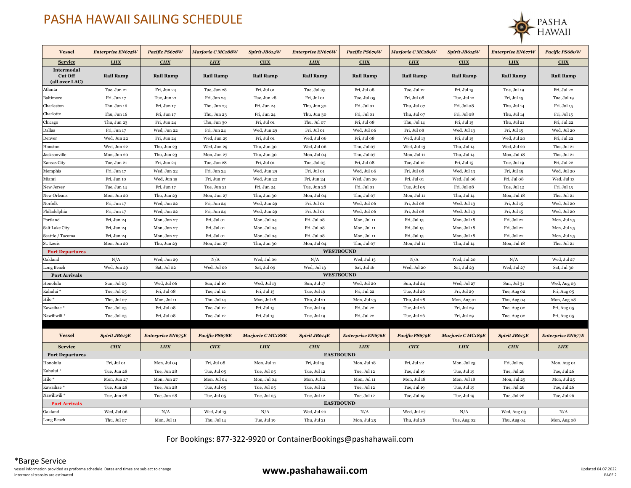## PASHA HAWAII SAILING SCHEDULE



| <b>Vessel</b>                                  | Enterprise EN675W    | Pacific PS678W           | Marjorie CMC188W | Spirit JB614W     | Enterprise EN676W               | Pacific PS679W           | Marjorie C MC189W | Spirit JB615W     | Enterprise EN677W    | Pacific PS680W           |
|------------------------------------------------|----------------------|--------------------------|------------------|-------------------|---------------------------------|--------------------------|-------------------|-------------------|----------------------|--------------------------|
| <b>Service</b>                                 | <b>LHX</b>           | CHX                      | <b>LHX</b>       | CHX               | <b>LHX</b>                      | <b>CHX</b>               | <b>LHX</b>        | CHX               | <b>LHX</b>           | <b>CHX</b>               |
| Intermodal<br><b>Cut Off</b><br>(all over LAC) | <b>Rail Ramp</b>     | <b>Rail Ramp</b>         | <b>Rail Ramp</b> | <b>Rail Ramp</b>  | <b>Rail Ramp</b>                | <b>Rail Ramp</b>         | <b>Rail Ramp</b>  | <b>Rail Ramp</b>  | <b>Rail Ramp</b>     | <b>Rail Ramp</b>         |
| Atlanta                                        | Tue, Jun 21          | Fri, Jun 24              | Tue, Jun 28      | Fri, Jul 01       | Tue, Jul 05                     | Fri, Jul 08              | Tue, Jul 12       | Fri, Jul 15       | Tue, Jul 19          | Fri, Jul 22              |
| Baltimore                                      | Fri, Jun 17          | Tue, Jun 21              | Fri, Jun 24      | Tue, Jun 28       | Fri, Jul 01                     | Tue, Jul 05              | Fri, Jul 08       | Tue, Jul 12       | Fri, Jul 15          | Tue, Jul 19              |
| Charleston                                     | Thu, Jun 16          | Fri, Jun 17              | Thu, Jun 23      | Fri, Jun 24       | Thu, Jun 30                     | Fri, Jul 01              | Thu, Jul 07       | Fri, Jul 08       | Thu, Jul 14          | Fri, Jul 15              |
| Charlotte                                      | Thu, Jun 16          | Fri, Jun 17              | Thu, Jun 23      | Fri, Jun 24       | Thu, Jun 30                     | Fri, Jul 01              | Thu, Jul 07       | Fri, Jul 08       | Thu, Jul 14          | Fri, Jul 15              |
| Chicago                                        | Thu, Jun 23          | Fri, Jun 24              | Thu, Jun 30      | Fri, Jul 01       | Thu, Jul 07                     | Fri, Jul 08              | Thu, Jul 14       | Fri, Jul 15       | Thu, Jul 21          | Fri, Jul 22              |
| Dallas                                         | Fri, Jun 17          | Wed, Jun 22              | Fri, Jun 24      | Wed, Jun 29       | Fri, Jul 01                     | Wed, Jul 06              | Fri, Jul 08       | Wed, Jul 13       | Fri, Jul 15          | Wed, Jul 20              |
| Denver                                         | Wed, Jun 22          | Fri, Jun 24              | Wed, Jun 29      | Fri, Jul 01       | Wed, Jul 06                     | Fri, Jul 08              | Wed, Jul 13       | Fri, Jul 15       | Wed, Jul 20          | Fri, Jul 22              |
| Houston                                        | Wed, Jun 22          | Thu, Jun 23              | Wed, Jun 29      | Thu, Jun 30       | Wed, Jul 06                     | Thu, Jul 07              | Wed, Jul 13       | Thu, Jul 14       | Wed, Jul 20          | Thu, Jul 21              |
| Jacksonville                                   | Mon, Jun 20          | Thu, Jun 23              | Mon, Jun 27      | Thu, Jun 30       | Mon, Jul 04                     | Thu, Jul 07              | Mon, Jul 11       | Thu, Jul 14       | Mon, Jul 18          | Thu, Jul 21              |
| Kansas City                                    | Tue, Jun 21          | Fri, Jun 24              | Tue, Jun 28      | Fri, Jul 01       | Tue, Jul 05                     | Fri, Jul 08              | Tue, Jul 12       | Fri, Jul 15       | Tue, Jul 19          | Fri, Jul 22              |
| Memphis                                        | Fri, Jun 17          | Wed, Jun 22              | Fri, Jun 24      | Wed, Jun 29       | Fri, Jul 01                     | Wed, Jul 06              | Fri, Jul 08       | Wed, Jul 13       | Fri, Jul 15          | Wed, Jul 20              |
| Miami                                          | Fri, Jun 10          | Wed, Jun 15              | Fri, Jun 17      | Wed, Jun 22       | Fri, Jun 24                     | Wed, Jun 29              | Fri, Jul 01       | Wed, Jul 06       | Fri, Jul 08          | Wed, Jul 13              |
| New Jersey                                     | Tue, Jun 14          | Fri, Jun 17              | Tue, Jun 21      | Fri, Jun 24       | Tue, Jun 28                     | Fri, Jul 01              | Tue, Jul 05       | Fri, Jul 08       | Tue, Jul 12          | Fri, Jul 15              |
| New Orleans                                    | Mon, Jun 20          | Thu, Jun 23              | Mon, Jun 27      | Thu, Jun 30       | Mon, Jul 04                     | Thu, Jul 07              | Mon, Jul 11       | Thu, Jul 14       | Mon, Jul 18          | Thu, Jul 21              |
| Norfolk                                        | Fri, Jun 17          | Wed, Jun 22              | Fri, Jun 24      | Wed, Jun 29       | Fri, Jul 01                     | Wed, Jul 06              | Fri, Jul 08       | Wed, Jul 13       | Fri, Jul 15          | Wed, Jul 20              |
| Philadelphia                                   | Fri, Jun 17          | Wed, Jun 22              | Fri, Jun 24      | Wed, Jun 29       | Fri, Jul 01                     | Wed, Jul 06              | Fri, Jul 08       | Wed, Jul 13       | Fri, Jul 15          | Wed, Jul 20              |
| Portland                                       | Fri, Jun 24          | Mon, Jun 27              | Fri, Jul 01      | Mon, Jul 04       | Fri, Jul 08                     | Mon, Jul 11              | Fri, Jul 15       | Mon, Jul 18       | Fri, Jul 22          | Mon, Jul 25              |
| Salt Lake City                                 | Fri, Jun 24          | Mon, Jun 27              | Fri, Jul 01      | Mon, Jul 04       | Fri, Jul 08                     | Mon, Jul 11              | Fri, Jul 15       | Mon, Jul 18       | Fri, Jul 22          | Mon, Jul 25              |
| Seattle / Tacoma                               | Fri, Jun 24          | Mon, Jun 27              | Fri, Jul 01      | Mon, Jul 04       | Fri, Jul 08                     | Mon, Jul 11              | Fri, Jul 15       | Mon, Jul 18       | Fri, Jul 22          | Mon, Jul 25              |
| St. Louis                                      | Mon, Jun 20          | Thu, Jun 23              | Mon, Jun 27      | Thu, Jun 30       | Mon, Jul 04<br><b>WESTBOUND</b> | Thu, Jul 07              | Mon, Jul 11       | Thu, Jul 14       | Mon, Jul 18          | Thu, Jul 21              |
| <b>Port Departures</b><br>Oakland              | N/A                  | Wed, Jun 29              | N/A              | Wed, Jul 06       | N/A                             | Wed, Jul 13              | N/A               | Wed, Jul 20       | N/A                  | Wed, Jul 27              |
| Long Beach                                     | Wed, Jun 29          | Sat, Jul 02              | Wed, Jul 06      | Sat, Jul 09       | Wed, Jul 13                     | Sat, Jul 16              | Wed, Jul 20       | Sat, Jul 23       | Wed, Jul 27          | Sat, Jul 30              |
| <b>Port Arrivals</b>                           |                      |                          |                  |                   | <b>WESTBOUND</b>                |                          |                   |                   |                      |                          |
| Honolulu                                       | Sun, Jul 03          | Wed, Jul 06              | Sun, Jul 10      | Wed, Jul 13       | Sun, Jul 17                     | Wed, Jul 20              | Sun, Jul 24       | Wed, Jul 27       | Sun, Jul 31          | Wed, Aug 03              |
| Kahului *                                      | Tue, Jul 05          | Fri, Jul 08              | Tue, Jul 12      | Fri, Jul 15       | Tue, Jul 19                     | Fri, Jul 22              | Tue, Jul 26       | Fri, Jul 29       | Tue, Aug 02          | Fri, Aug 05              |
| Hilo *                                         | Thu, Jul 07          | Mon, Jul 11              | Thu, Jul 14      | Mon, Jul 18       | Thu, Jul 21                     | Mon, Jul 25              | Thu, Jul 28       | Mon, Aug 01       | Thu, Aug 04          | Mon, Aug 08              |
| Kawaihae *                                     | Tue, Jul 05          | Fri, Jul 08              | Tue, Jul 12      | Fri, Jul 15       | Tue, Jul 19                     | Fri, Jul 22              | Tue, Jul 26       | Fri, Jul 29       | Tue, Aug 02          | Fri, Aug 05              |
| Nawiliwili*                                    | Tue, Jul 05          | Fri, Jul 08              | Tue, Jul 12      | Fri, Jul 15       | Tue, Jul 19                     | Fri, Jul 22              | Tue, Jul 26       | Fri, Jul 29       | Tue, Aug 02          | Fri, Aug 05              |
|                                                |                      |                          |                  |                   |                                 |                          |                   |                   |                      |                          |
| <b>Vessel</b>                                  | <b>Spirit JB613E</b> | <b>Enterprise EN675E</b> | Pacific PS678E   | Marjorie C MC188E | Spirit JB614E                   | <b>Enterprise EN676E</b> | Pacific PS679E    | Marjorie C MC189E | <b>Spirit JB615E</b> | <b>Enterprise EN677E</b> |
| <b>Service</b>                                 | <b>CHX</b>           | <b>LHX</b>               | <b>CHX</b>       | <b>LHX</b>        | CHX                             | <b>LHX</b>               | CHX               | <b>LHX</b>        | <b>CHX</b>           | <b>LHX</b>               |
| <b>Port Departures</b>                         |                      |                          |                  |                   | <b>EASTBOUND</b>                |                          |                   |                   |                      |                          |
| Honolulu                                       | Fri, Jul 01          | Mon, Jul 04              | Fri, Jul 08      | Mon, Jul 11       | Fri, Jul 15                     | Mon, Jul 18              | Fri, Jul 22       | Mon, Jul 25       | Fri, Jul 29          | Mon, Aug 01              |
| Kahului *                                      | Tue, Jun 28          | Tue, Jun 28              | Tue, Jul 05      | Tue, Jul 05       | Tue, Jul 12                     | Tue, Jul 12              | Tue, Jul 19       | Tue, Jul 19       | Tue, Jul 26          | Tue, Jul 26              |
| Hilo*                                          | Mon, Jun 27          | Mon, Jun 27              | Mon, Jul 04      | Mon, Jul 04       | Mon, Jul 11                     | Mon, Jul 11              | Mon, Jul 18       | Mon, Jul 18       | Mon, Jul 25          | Mon, Jul 25              |
| Kawaihae *                                     | Tue, Jun 28          | Tue, Jun 28              | Tue, Jul 05      | Tue, Jul 05       | Tue, Jul 12                     | Tue, Jul 12              | Tue, Jul 19       | Tue, Jul 19       | Tue, Jul 26          | Tue, Jul 26              |
| Nawiliwili *                                   | Tue, Jun 28          | Tue, Jun 28              | Tue, Jul 05      | Tue, Jul 05       | Tue, Jul 12                     | Tue, Jul 12              | Tue, Jul 19       | Tue, Jul 19       | Tue, Jul 26          | Tue, Jul 26              |
| <b>Port Arrivals</b>                           | <b>EASTBOUND</b>     |                          |                  |                   |                                 |                          |                   |                   |                      |                          |
| Oakland                                        | Wed. Jul 06          | N/A                      | Wed, Jul 13      | N/A               | Wed, Jul 20                     | N/A                      | Wed, Jul 27       | N/A               | Wed, Aug 03          | N/A                      |
| Long Beach                                     | Thu, Jul 07          | Mon, Jul 11              | Thu, Jul 14      | Tue, Jul 19       | Thu, Jul 21                     | Mon, Jul 25              | Thu, Jul 28       | Tue, Aug 02       | Thu, Aug 04          | Mon, Aug 08              |

For Bookings: 877-322-9920 or ContainerBookings@pashahawaii.com